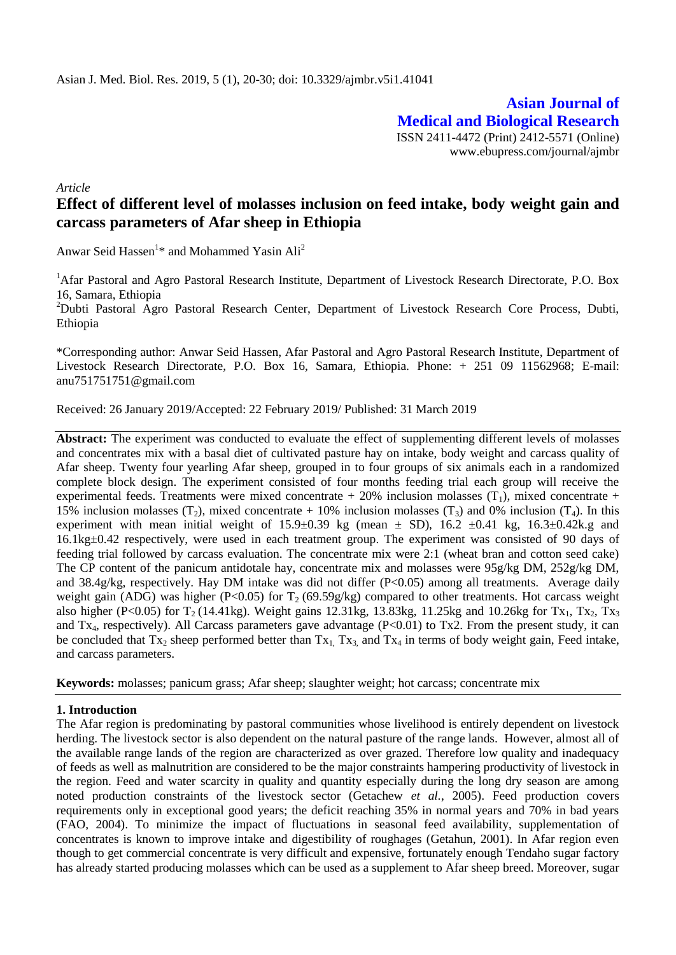**Asian Journal of Medical and Biological Research** ISSN 2411-4472 (Print) 2412-5571 (Online) www.ebupress.com/journal/ajmbr

*Article*

# **Effect of different level of molasses inclusion on feed intake, body weight gain and carcass parameters of Afar sheep in Ethiopia**

Anwar Seid Hassen<sup>1\*</sup> and Mohammed Yasin Ali<sup>2</sup>

<sup>1</sup>Afar Pastoral and Agro Pastoral Research Institute, Department of Livestock Research Directorate, P.O. Box 16, Samara, Ethiopia

<sup>2</sup>Dubti Pastoral Agro Pastoral Research Center, Department of Livestock Research Core Process, Dubti, Ethiopia

\*Corresponding author: Anwar Seid Hassen, Afar Pastoral and Agro Pastoral Research Institute, Department of Livestock Research Directorate, P.O. Box 16, Samara, Ethiopia. Phone: + 251 09 11562968; E-mail: anu751751751@gmail.com

Received: 26 January 2019/Accepted: 22 February 2019/ Published: 31 March 2019

**Abstract:** The experiment was conducted to evaluate the effect of supplementing different levels of molasses and concentrates mix with a basal diet of cultivated pasture hay on intake, body weight and carcass quality of Afar sheep. Twenty four yearling Afar sheep, grouped in to four groups of six animals each in a randomized complete block design. The experiment consisted of four months feeding trial each group will receive the experimental feeds. Treatments were mixed concentrate  $+20\%$  inclusion molasses (T<sub>1</sub>), mixed concentrate  $+$ 15% inclusion molasses  $(T_2)$ , mixed concentrate + 10% inclusion molasses  $(T_3)$  and 0% inclusion  $(T_4)$ . In this experiment with mean initial weight of  $15.9\pm0.39$  kg (mean  $\pm$  SD),  $16.2 \pm 0.41$  kg,  $16.3\pm0.42$ k.g and 16.1kg±0.42 respectively, were used in each treatment group. The experiment was consisted of 90 days of feeding trial followed by carcass evaluation. The concentrate mix were 2:1 (wheat bran and cotton seed cake) The CP content of the panicum antidotale hay, concentrate mix and molasses were 95g/kg DM, 252g/kg DM, and 38.4g/kg, respectively. Hay DM intake was did not differ (P<0.05) among all treatments. Average daily weight gain (ADG) was higher (P<0.05) for  $T_2$  (69.59g/kg) compared to other treatments. Hot carcass weight also higher (P<0.05) for  $T_2$  (14.41kg). Weight gains 12.31kg, 13.83kg, 11.25kg and 10.26kg for  $Tx_1, Tx_2, Tx_3$ and Tx<sub>4</sub>, respectively). All Carcass parameters gave advantage (P<0.01) to Tx2. From the present study, it can be concluded that  $Tx_2$  sheep performed better than  $Tx_1, Tx_3$  and  $Tx_4$  in terms of body weight gain, Feed intake, and carcass parameters.

**Keywords:** molasses; panicum grass; Afar sheep; slaughter weight; hot carcass; concentrate mix

# **1. Introduction**

The Afar region is predominating by pastoral communities whose livelihood is entirely dependent on livestock herding. The livestock sector is also dependent on the natural pasture of the range lands. However, almost all of the available range lands of the region are characterized as over grazed. Therefore low quality and inadequacy of feeds as well as malnutrition are considered to be the major constraints hampering productivity of livestock in the region. Feed and water scarcity in quality and quantity especially during the long dry season are among noted production constraints of the livestock sector (Getachew *et al.*, 2005). Feed production covers requirements only in exceptional good years; the deficit reaching 35% in normal years and 70% in bad years (FAO, 2004). To minimize the impact of fluctuations in seasonal feed availability, supplementation of concentrates is known to improve intake and digestibility of roughages (Getahun, 2001). In Afar region even though to get commercial concentrate is very difficult and expensive, fortunately enough Tendaho sugar factory has already started producing molasses which can be used as a supplement to Afar sheep breed. Moreover, sugar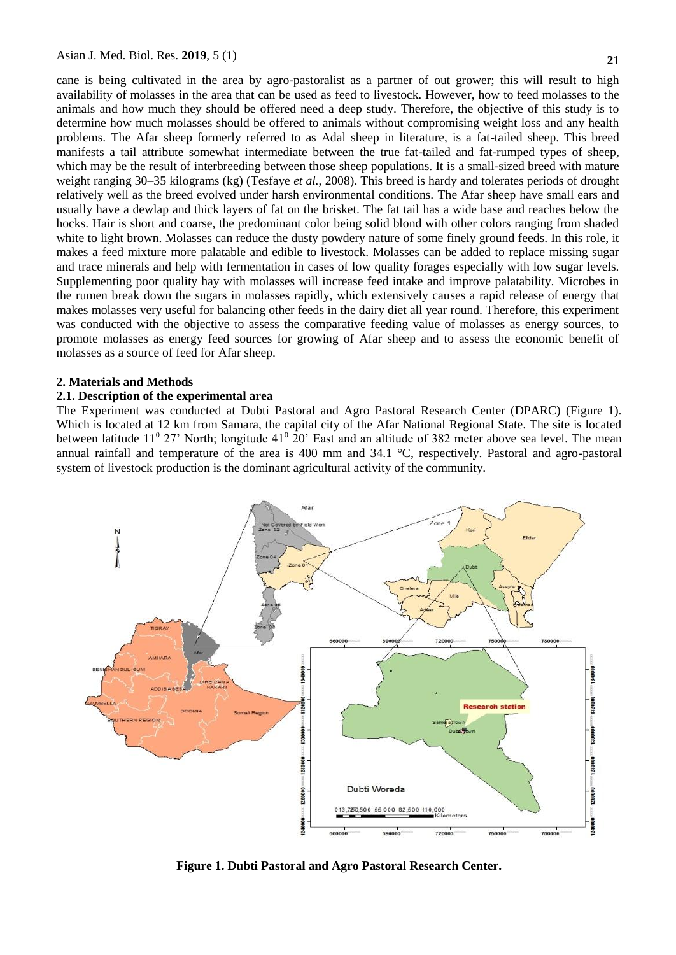cane is being cultivated in the area by agro-pastoralist as a partner of out grower; this will result to high availability of molasses in the area that can be used as feed to livestock. However, how to feed molasses to the animals and how much they should be offered need a deep study. Therefore, the objective of this study is to determine how much molasses should be offered to animals without compromising weight loss and any health problems. The Afar sheep formerly referred to as Adal sheep in literature, is a fat-tailed sheep. This breed manifests a tail attribute somewhat intermediate between the true fat-tailed and fat-rumped types of sheep, which may be the result of interbreeding between those sheep populations. It is a small-sized breed with mature weight ranging 30–35 kilograms (kg) (Tesfaye *et al.*, 2008). This breed is hardy and tolerates periods of drought relatively well as the breed evolved under harsh environmental conditions. The Afar sheep have small ears and usually have a dewlap and thick layers of fat on the brisket. The fat tail has a wide base and reaches below the hocks. Hair is short and coarse, the predominant color being solid blond with other colors ranging from shaded white to light brown. Molasses can reduce the dusty powdery nature of some finely ground feeds. In this role, it makes a feed mixture more palatable and edible to livestock. Molasses can be added to replace missing sugar and trace minerals and help with fermentation in cases of low quality forages especially with low sugar levels. Supplementing poor quality hay with molasses will increase feed intake and improve palatability. Microbes in the rumen break down the sugars in molasses rapidly, which extensively causes a rapid release of energy that makes molasses very useful for balancing other feeds in the dairy diet all year round. Therefore, this experiment was conducted with the objective to assess the comparative feeding value of molasses as energy sources, to promote molasses as energy feed sources for growing of Afar sheep and to assess the economic benefit of molasses as a source of feed for Afar sheep.

#### **2. Materials and Methods**

# **2.1. Description of the experimental area**

The Experiment was conducted at Dubti Pastoral and Agro Pastoral Research Center (DPARC) (Figure 1). Which is located at 12 km from Samara, the capital city of the Afar National Regional State. The site is located between latitude 11<sup>0</sup> 27' North; longitude 41<sup>0</sup> 20' East and an altitude of 382 meter above sea level. The mean annual rainfall and temperature of the area is 400 mm and 34.1 °C, respectively. Pastoral and agro-pastoral system of livestock production is the dominant agricultural activity of the community.



**Figure 1. Dubti Pastoral and Agro Pastoral Research Center.**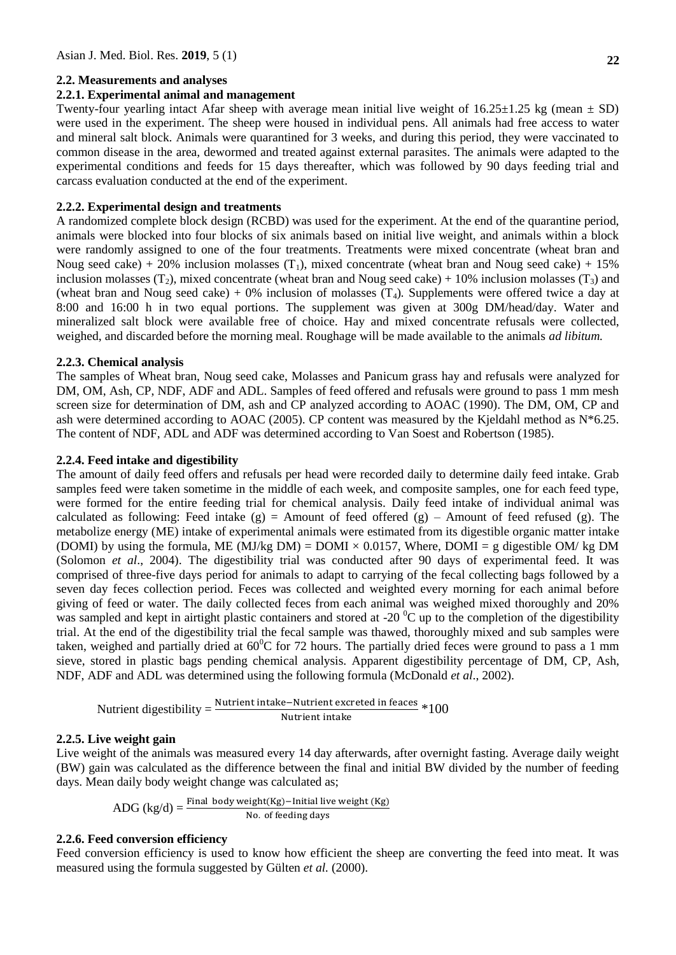### **2.2. Measurements and analyses**

#### **2.2.1. Experimental animal and management**

Twenty-four yearling intact Afar sheep with average mean initial live weight of  $16.25 \pm 1.25$  kg (mean  $\pm$  SD) were used in the experiment. The sheep were housed in individual pens. All animals had free access to water and mineral salt block. Animals were quarantined for 3 weeks, and during this period, they were vaccinated to common disease in the area, dewormed and treated against external parasites. The animals were adapted to the experimental conditions and feeds for 15 days thereafter, which was followed by 90 days feeding trial and carcass evaluation conducted at the end of the experiment.

#### **2.2.2. Experimental design and treatments**

A randomized complete block design (RCBD) was used for the experiment. At the end of the quarantine period, animals were blocked into four blocks of six animals based on initial live weight, and animals within a block were randomly assigned to one of the four treatments. Treatments were mixed concentrate (wheat bran and Noug seed cake) + 20% inclusion molasses  $(T_1)$ , mixed concentrate (wheat bran and Noug seed cake) + 15% inclusion molasses (T<sub>2</sub>), mixed concentrate (wheat bran and Noug seed cake) + 10% inclusion molasses (T<sub>3</sub>) and (wheat bran and Noug seed cake) + 0% inclusion of molasses  $(T_4)$ . Supplements were offered twice a day at 8:00 and 16:00 h in two equal portions. The supplement was given at 300g DM/head/day. Water and mineralized salt block were available free of choice. Hay and mixed concentrate refusals were collected, weighed, and discarded before the morning meal. Roughage will be made available to the animals *ad libitum.*

#### **2.2.3. Chemical analysis**

The samples of Wheat bran, Noug seed cake, Molasses and Panicum grass hay and refusals were analyzed for DM, OM, Ash, CP, NDF, ADF and ADL. Samples of feed offered and refusals were ground to pass 1 mm mesh screen size for determination of DM, ash and CP analyzed according to AOAC (1990). The DM, OM, CP and ash were determined according to AOAC (2005). CP content was measured by the Kjeldahl method as N\*6.25. The content of NDF, ADL and ADF was determined according to Van Soest and Robertson (1985).

#### **2.2.4. Feed intake and digestibility**

The amount of daily feed offers and refusals per head were recorded daily to determine daily feed intake. Grab samples feed were taken sometime in the middle of each week, and composite samples, one for each feed type, were formed for the entire feeding trial for chemical analysis. Daily feed intake of individual animal was calculated as following: Feed intake  $(g)$  = Amount of feed offered  $(g)$  – Amount of feed refused  $(g)$ . The metabolize energy (ME) intake of experimental animals were estimated from its digestible organic matter intake (DOMI) by using the formula, ME (MJ/kg DM) = DOMI  $\times$  0.0157, Where, DOMI = g digestible OM/ kg DM (Solomon *et al*., 2004). The digestibility trial was conducted after 90 days of experimental feed. It was comprised of three-five days period for animals to adapt to carrying of the fecal collecting bags followed by a seven day feces collection period. Feces was collected and weighted every morning for each animal before giving of feed or water. The daily collected feces from each animal was weighed mixed thoroughly and 20% was sampled and kept in airtight plastic containers and stored at -20 $\rm{^0C}$  up to the completion of the digestibility trial. At the end of the digestibility trial the fecal sample was thawed, thoroughly mixed and sub samples were taken, weighed and partially dried at  $60^{\circ}$ C for 72 hours. The partially dried feces were ground to pass a 1 mm sieve, stored in plastic bags pending chemical analysis. Apparent digestibility percentage of DM, CP, Ash, NDF, ADF and ADL was determined using the following formula (McDonald *et al*., 2002).

$$
Nutrient digestibility = \frac{Nutrient\ intake - Nutrient\ exact\ or\ facet\ 100}{Nutrient\ intake}
$$

#### **2.2.5. Live weight gain**

Live weight of the animals was measured every 14 day afterwards, after overnight fasting. Average daily weight (BW) gain was calculated as the difference between the final and initial BW divided by the number of feeding days. Mean daily body weight change was calculated as;

ADG  $(kg/d) = \frac{Final \text{ body weight}(Kg) - Initial \text{ live weight}(Kg)}{}$ No. of feeding days

# **2.2.6. Feed conversion efficiency**

Feed conversion efficiency is used to know how efficient the sheep are converting the feed into meat. It was measured using the formula suggested by Gülten *et al.* (2000).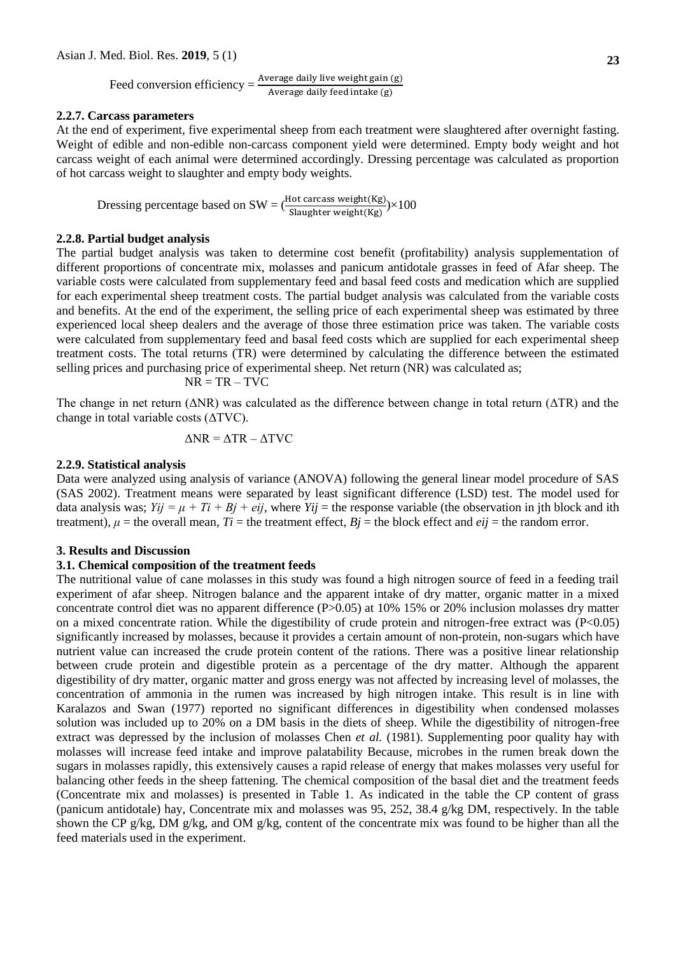Feed conversion efficiency  $=$   $\frac{\text{Average daily live weight gain (g)}}{\text{Average daily feed intake (g)}}$ 

#### **2.2.7. Carcass parameters**

At the end of experiment, five experimental sheep from each treatment were slaughtered after overnight fasting. Weight of edible and non-edible non-carcass component yield were determined. Empty body weight and hot carcass weight of each animal were determined accordingly. Dressing percentage was calculated as proportion of hot carcass weight to slaughter and empty body weights.

Dressing percentage based on SW =  $\left(\frac{\text{Hot carcass weight(Kg)}}{\text{Slaughter weight(Kg)}}\right) \times 100$ 

#### **2.2.8. Partial budget analysis**

The partial budget analysis was taken to determine cost benefit (profitability) analysis supplementation of different proportions of concentrate mix, molasses and panicum antidotale grasses in feed of Afar sheep. The variable costs were calculated from supplementary feed and basal feed costs and medication which are supplied for each experimental sheep treatment costs. The partial budget analysis was calculated from the variable costs and benefits. At the end of the experiment, the selling price of each experimental sheep was estimated by three experienced local sheep dealers and the average of those three estimation price was taken. The variable costs were calculated from supplementary feed and basal feed costs which are supplied for each experimental sheep treatment costs. The total returns (TR) were determined by calculating the difference between the estimated selling prices and purchasing price of experimental sheep. Net return (NR) was calculated as;

$$
NR = TR - TVC
$$

The change in net return (ΔNR) was calculated as the difference between change in total return (ΔTR) and the change in total variable costs (ΔTVC).

$$
\Delta NR = \Delta TR - \Delta TVC
$$

### **2.2.9. Statistical analysis**

Data were analyzed using analysis of variance (ANOVA) following the general linear model procedure of SAS (SAS 2002). Treatment means were separated by least significant difference (LSD) test. The model used for data analysis was;  $Yij = \mu + Ti + Bj + eij$ , where  $Yij$  = the response variable (the observation in jth block and ith treatment),  $\mu$  = the overall mean,  $Ti$  = the treatment effect,  $Bj$  = the block effect and *eij* = the random error.

#### **3. Results and Discussion**

## **3.1. Chemical composition of the treatment feeds**

The nutritional value of cane molasses in this study was found a high nitrogen source of feed in a feeding trail experiment of afar sheep. Nitrogen balance and the apparent intake of dry matter, organic matter in a mixed concentrate control diet was no apparent difference (P>0.05) at 10% 15% or 20% inclusion molasses dry matter on a mixed concentrate ration. While the digestibility of crude protein and nitrogen-free extract was (P<0.05) significantly increased by molasses, because it provides a certain amount of non-protein, non-sugars which have nutrient value can increased the crude protein content of the rations. There was a positive linear relationship between crude protein and digestible protein as a percentage of the dry matter. Although the apparent digestibility of dry matter, organic matter and gross energy was not affected by increasing level of molasses, the concentration of ammonia in the rumen was increased by high nitrogen intake. This result is in line with Karalazos and Swan (1977) reported no significant differences in digestibility when condensed molasses solution was included up to 20% on a DM basis in the diets of sheep. While the digestibility of nitrogen-free extract was depressed by the inclusion of molasses Chen *et al.* (1981). Supplementing poor quality hay with molasses will increase feed intake and improve palatability Because, microbes in the rumen break down the sugars in molasses rapidly, this extensively causes a rapid release of energy that makes molasses very useful for balancing other feeds in the sheep fattening. The chemical composition of the basal diet and the treatment feeds (Concentrate mix and molasses) is presented in Table 1. As indicated in the table the CP content of grass (panicum antidotale) hay, Concentrate mix and molasses was 95, 252, 38.4 g/kg DM, respectively. In the table shown the CP g/kg, DM g/kg, and OM g/kg, content of the concentrate mix was found to be higher than all the feed materials used in the experiment.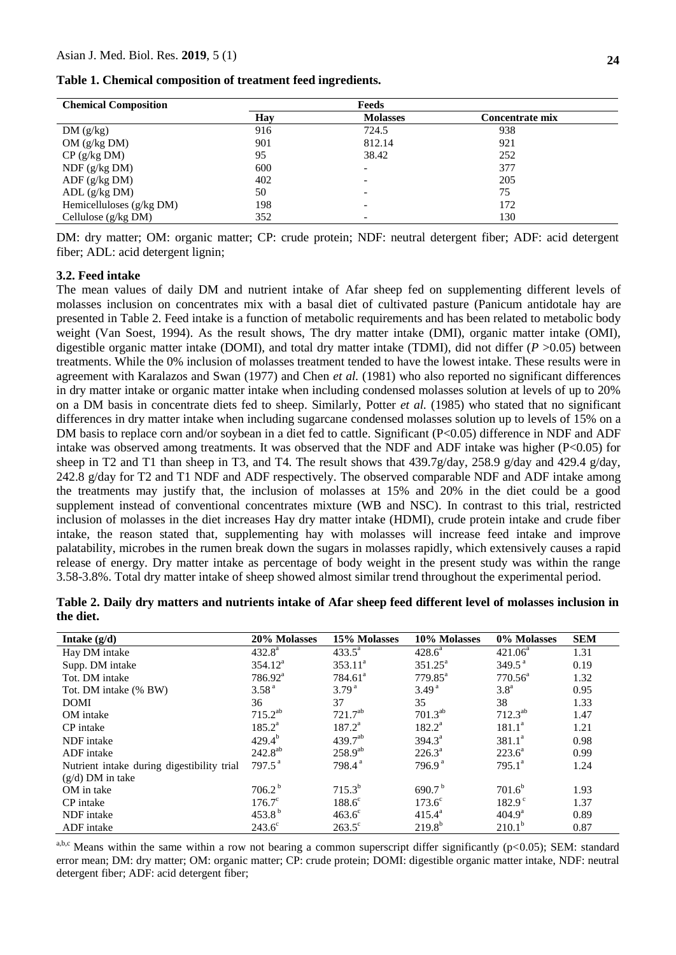| <b>Chemical Composition</b> | Feeds |                 |                 |  |  |  |
|-----------------------------|-------|-----------------|-----------------|--|--|--|
|                             | Hav   | <b>Molasses</b> | Concentrate mix |  |  |  |
| DM(g/kg)                    | 916   | 724.5           | 938             |  |  |  |
| OM(g/kg DM)                 | 901   | 812.14          | 921             |  |  |  |
| $CP$ (g/kg DM)              | 95    | 38.42           | 252             |  |  |  |
| $NDF$ (g/kg DM)             | 600   |                 | 377             |  |  |  |
| ADF(g/kg DM)                | 402   |                 | 205             |  |  |  |
| $ADL$ (g/kg $DM$ )          | 50    |                 | 75              |  |  |  |
| Hemicelluloses $(g/kg DM)$  | 198   |                 | 172             |  |  |  |
| Cellulose $(g/kg DM)$       | 352   |                 | 130             |  |  |  |

**Table 1. Chemical composition of treatment feed ingredients.**

DM: dry matter; OM: organic matter; CP: crude protein; NDF: neutral detergent fiber; ADF: acid detergent fiber; ADL: acid detergent lignin;

#### **3.2. Feed intake**

The mean values of daily DM and nutrient intake of Afar sheep fed on supplementing different levels of molasses inclusion on concentrates mix with a basal diet of cultivated pasture (Panicum antidotale hay are presented in Table 2. Feed intake is a function of metabolic requirements and has been related to metabolic body weight (Van Soest, 1994). As the result shows, The dry matter intake (DMI), organic matter intake (OMI), digestible organic matter intake (DOMI), and total dry matter intake (TDMI), did not differ (*P* >0.05) between treatments. While the 0% inclusion of molasses treatment tended to have the lowest intake. These results were in agreement with Karalazos and Swan (1977) and Chen *et al.* (1981) who also reported no significant differences in dry matter intake or organic matter intake when including condensed molasses solution at levels of up to 20% on a DM basis in concentrate diets fed to sheep. Similarly, Potter *et al.* (1985) who stated that no significant differences in dry matter intake when including sugarcane condensed molasses solution up to levels of 15% on a DM basis to replace corn and/or soybean in a diet fed to cattle. Significant (P<0.05) difference in NDF and ADF intake was observed among treatments. It was observed that the NDF and ADF intake was higher (P<0.05) for sheep in T2 and T1 than sheep in T3, and T4. The result shows that  $439.7g/day$ ,  $258.9$  g/day and  $429.4$  g/day, 242.8 g/day for T2 and T1 NDF and ADF respectively. The observed comparable NDF and ADF intake among the treatments may justify that, the inclusion of molasses at 15% and 20% in the diet could be a good supplement instead of conventional concentrates mixture (WB and NSC). In contrast to this trial, restricted inclusion of molasses in the diet increases Hay dry matter intake (HDMI), crude protein intake and crude fiber intake, the reason stated that, supplementing hay with molasses will increase feed intake and improve palatability, microbes in the rumen break down the sugars in molasses rapidly, which extensively causes a rapid release of energy. Dry matter intake as percentage of body weight in the present study was within the range 3.58-3.8%. Total dry matter intake of sheep showed almost similar trend throughout the experimental period.

| Intake $(g/d)$                             | 20% Molasses       | 15% Molasses        | 10% Molasses        | 0% Molasses        | <b>SEM</b> |
|--------------------------------------------|--------------------|---------------------|---------------------|--------------------|------------|
| Hay DM intake                              | $432.8^{\circ}$    | $433.5^{\circ}$     | $428.6^a$           | $421.06^a$         | 1.31       |
| Supp. DM intake                            | $354.12^a$         | $353.11^a$          | $351.25^a$          | $349.5^{\text{a}}$ | 0.19       |
| Tot. DM intake                             | $786.92^a$         | 784.61 <sup>a</sup> | $779.85^{\text{a}}$ | $770.56^a$         | 1.32       |
| Tot. DM intake (% BW)                      | 3.58 <sup>a</sup>  | 3.79 <sup>a</sup>   | 3.49 <sup>a</sup>   | 3.8 <sup>a</sup>   | 0.95       |
| <b>DOMI</b>                                | 36                 | 37                  | 35                  | 38                 | 1.33       |
| OM intake                                  | $715.2^{ab}$       | $721.7^{ab}$        | $701.3^{ab}$        | $712.3^{ab}$       | 1.47       |
| CP intake                                  | $185.2^{\circ}$    | $187.2^{\rm a}$     | $182.2^a$           | $181.1^a$          | 1.21       |
| NDF intake                                 | $429.4^{b}$        | $439.7^{ab}$        | $394.3^{\circ}$     | $381.1^a$          | 0.98       |
| ADF intake                                 | $242.8^{ab}$       | $258.9^{ab}$        | $226.3^a$           | $223.6^{\circ}$    | 0.99       |
| Nutrient intake during digestibility trial | $797.5^{\text{a}}$ | 798.4 <sup>a</sup>  | 796.9 <sup>a</sup>  | $795.1^{\circ}$    | 1.24       |
| $(g/d)$ DM in take                         |                    |                     |                     |                    |            |
| OM in take                                 | 706.2 <sup>b</sup> | $715.3^{b}$         | 690.7 $^{\rm b}$    | $701.6^b$          | 1.93       |
| CP intake                                  | $176.7^{\circ}$    | $188.6^\circ$       | $173.6^{\circ}$     | $182.9^{\circ}$    | 1.37       |
| NDF intake                                 | 453.8 <sup>b</sup> | $463.6^{\circ}$     | $415.4^{\circ}$     | $404.9^{\circ}$    | 0.89       |
| ADF intake                                 | $243.6^{\circ}$    | $263.5^{\circ}$     | $219.8^{b}$         | $210.1^b$          | 0.87       |

**Table 2. Daily dry matters and nutrients intake of Afar sheep feed different level of molasses inclusion in the diet.**

a,b,c Means within the same within a row not bearing a common superscript differ significantly ( $p$ <0.05); SEM: standard error mean; DM: dry matter; OM: organic matter; CP: crude protein; DOMI: digestible organic matter intake, NDF: neutral detergent fiber; ADF: acid detergent fiber;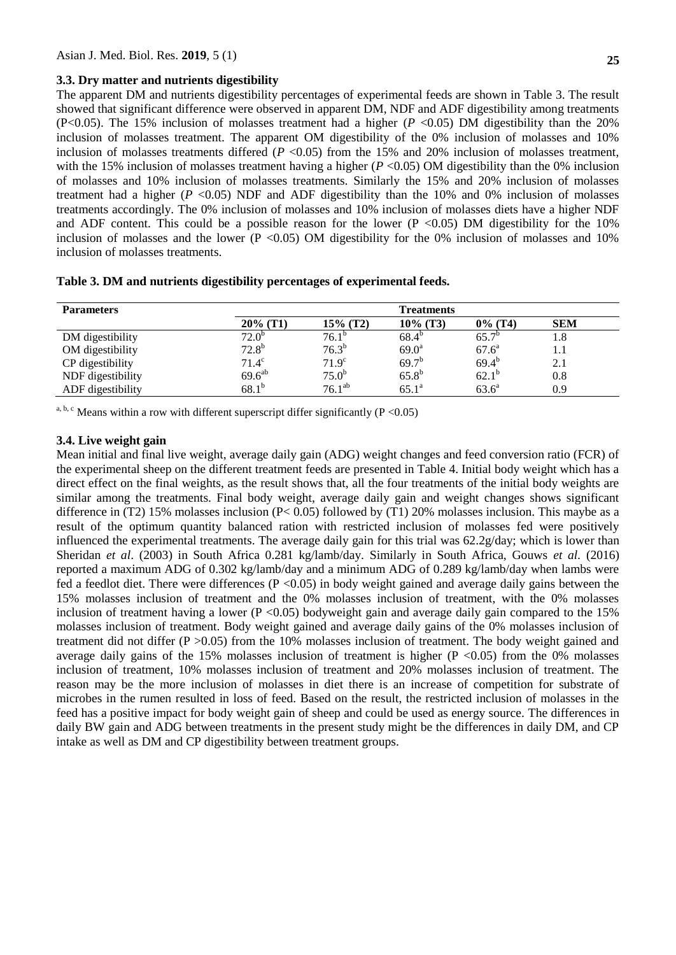# **3.3. Dry matter and nutrients digestibility**

The apparent DM and nutrients digestibility percentages of experimental feeds are shown in Table 3. The result showed that significant difference were observed in apparent DM, NDF and ADF digestibility among treatments (P<0.05). The 15% inclusion of molasses treatment had a higher (*P* <0.05) DM digestibility than the 20% inclusion of molasses treatment. The apparent OM digestibility of the 0% inclusion of molasses and 10% inclusion of molasses treatments differed (*P* <0.05) from the 15% and 20% inclusion of molasses treatment, with the 15% inclusion of molasses treatment having a higher (*P* <0.05) OM digestibility than the 0% inclusion of molasses and 10% inclusion of molasses treatments. Similarly the 15% and 20% inclusion of molasses treatment had a higher  $(P \le 0.05)$  NDF and ADF digestibility than the 10% and 0% inclusion of molasses treatments accordingly. The 0% inclusion of molasses and 10% inclusion of molasses diets have a higher NDF and ADF content. This could be a possible reason for the lower ( $P \le 0.05$ ) DM digestibility for the 10% inclusion of molasses and the lower ( $P < 0.05$ ) OM digestibility for the 0% inclusion of molasses and 10% inclusion of molasses treatments.

| <b>Parameters</b> | <b>Treatments</b> |                   |                   |                |            |  |  |
|-------------------|-------------------|-------------------|-------------------|----------------|------------|--|--|
|                   | $20\%$ (T1)       | $15\%$ (T2)       | $10\%$ (T3)       | $0\%$ (T4)     | <b>SEM</b> |  |  |
| DM digestibility  | 72.0 <sup>b</sup> | $76.1^{\circ}$    | $68.4^{\circ}$    | $65.7^{\circ}$ | 1.8        |  |  |
| OM digestibility  | $72.8^{b}$        | $76.3^{b}$        | $69.0^{\text{a}}$ | $67.6^{\circ}$ |            |  |  |
| CP digestibility  | $71.4^{\circ}$    | 71.9 <sup>c</sup> | $69.7^{b}$        | $69.4^{b}$     | 2.1        |  |  |
| NDF digestibility | $69.6^{ab}$       | $75.0^b$          | $65.8^{b}$        | $62.1^{b}$     | 0.8        |  |  |
| ADF digestibility | $68.1^{b}$        | $76.1^{ab}$       | $65.1^{\circ}$    | $63.6^{\circ}$ | 0.9        |  |  |

| Table 3. DM and nutrients digestibility percentages of experimental feeds. |  |  |
|----------------------------------------------------------------------------|--|--|
|----------------------------------------------------------------------------|--|--|

<sup>a, b, c</sup> Means within a row with different superscript differ significantly (P < 0.05)

# **3.4. Live weight gain**

Mean initial and final live weight, average daily gain (ADG) weight changes and feed conversion ratio (FCR) of the experimental sheep on the different treatment feeds are presented in Table 4. Initial body weight which has a direct effect on the final weights, as the result shows that, all the four treatments of the initial body weights are similar among the treatments. Final body weight, average daily gain and weight changes shows significant difference in  $(T2)$  15% molasses inclusion  $(P< 0.05)$  followed by  $(T1)$  20% molasses inclusion. This maybe as a result of the optimum quantity balanced ration with restricted inclusion of molasses fed were positively influenced the experimental treatments. The average daily gain for this trial was  $62.2g/day$ ; which is lower than Sheridan *et al*. (2003) in South Africa 0.281 kg/lamb/day. Similarly in South Africa, Gouws *et al.* (2016) reported a maximum ADG of 0.302 kg/lamb/day and a minimum ADG of 0.289 kg/lamb/day when lambs were fed a feedlot diet. There were differences (P <0.05) in body weight gained and average daily gains between the 15% molasses inclusion of treatment and the 0% molasses inclusion of treatment, with the 0% molasses inclusion of treatment having a lower  $(P < 0.05)$  bodyweight gain and average daily gain compared to the 15% molasses inclusion of treatment. Body weight gained and average daily gains of the 0% molasses inclusion of treatment did not differ  $(P > 0.05)$  from the 10% molasses inclusion of treatment. The body weight gained and average daily gains of the 15% molasses inclusion of treatment is higher  $(P \le 0.05)$  from the 0% molasses inclusion of treatment, 10% molasses inclusion of treatment and 20% molasses inclusion of treatment. The reason may be the more inclusion of molasses in diet there is an increase of competition for substrate of microbes in the rumen resulted in loss of feed. Based on the result, the restricted inclusion of molasses in the feed has a positive impact for body weight gain of sheep and could be used as energy source. The differences in daily BW gain and ADG between treatments in the present study might be the differences in daily DM, and CP intake as well as DM and CP digestibility between treatment groups.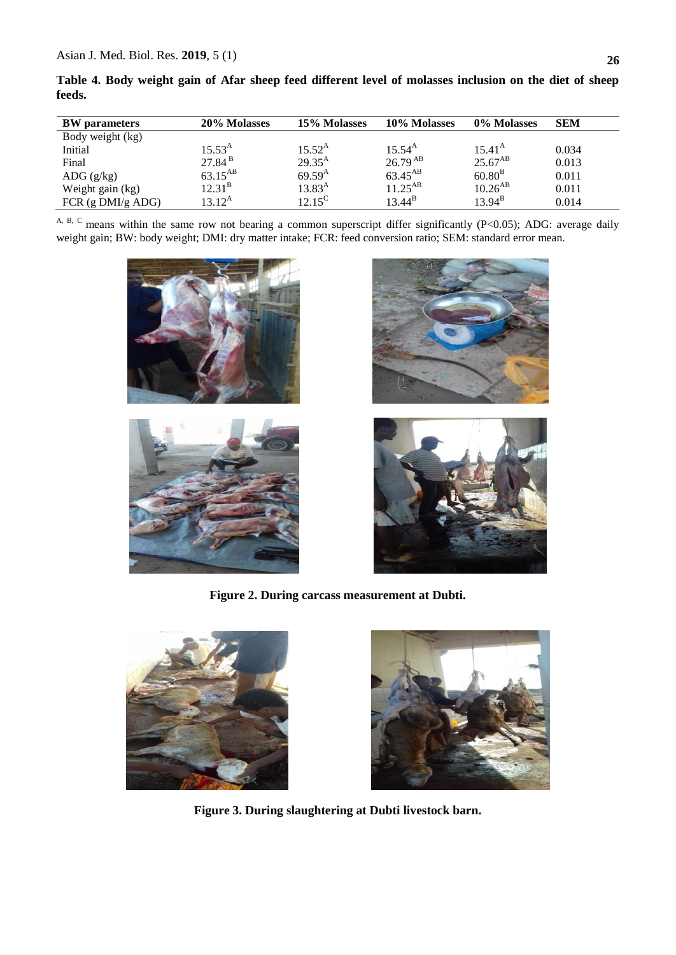FCR (g DMI/g ADG)  $13.12^{\text{A}}$ 

| <b>BW</b> parameters  | 20% Molasses    | 15% Molasses    | 10% Molasses    | 0% Molasses          | <b>SEM</b> |
|-----------------------|-----------------|-----------------|-----------------|----------------------|------------|
| Body weight (kg)      |                 |                 |                 |                      |            |
| Initial               | $15.53^{A}$     | $15.52^{\rm A}$ | $15.54^{A}$     | $15.41^{A}$          | 0.034      |
| Final                 | $27.84^{\,B}$   | $29.35^{A}$     | $26.79^{AB}$    | $25.67^{AB}$         | 0.013      |
| ADG $(g/kg)$          | $63.15^{AB}$    | $69.59^{A}$     | $63.45^{AB}$    | $60.80^{B}$          | 0.011      |
| Weight gain (kg)      | $12.31^{\rm B}$ | $13.83^{A}$     | $11.25^{AB}$    | $10.26^{AB}$         | 0.011      |
| $FCR$ (g $DMI/g$ ADG) | $13.12^{\rm A}$ | $12.15^{\circ}$ | $13.44^{\rm B}$ | $13.94^{\mathrm{B}}$ | 0.014      |

**Table 4. Body weight gain of Afar sheep feed different level of molasses inclusion on the diet of sheep feeds.**

A, B, C means within the same row not bearing a common superscript differ significantly (P<0.05); ADG: average daily weight gain; BW: body weight; DMI: dry matter intake; FCR: feed conversion ratio; SEM: standard error mean.

 $12.15^{\circ}$ 









**Figure 2. During carcass measurement at Dubti.**





**Figure 3. During slaughtering at Dubti livestock barn.**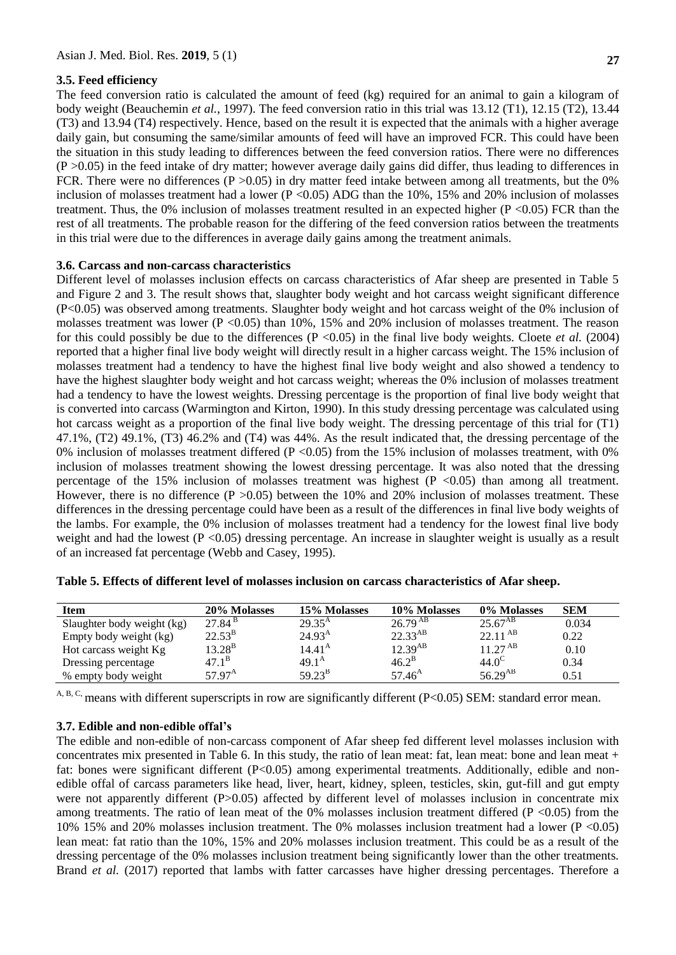#### **3.5. Feed efficiency**

The feed conversion ratio is calculated the amount of feed (kg) required for an animal to gain a kilogram of body weight (Beauchemin *et al.*, 1997). The feed conversion ratio in this trial was 13.12 (T1), 12.15 (T2), 13.44 (T3) and 13.94 (T4) respectively. Hence, based on the result it is expected that the animals with a higher average daily gain, but consuming the same/similar amounts of feed will have an improved FCR. This could have been the situation in this study leading to differences between the feed conversion ratios. There were no differences  $(P > 0.05)$  in the feed intake of dry matter; however average daily gains did differ, thus leading to differences in FCR. There were no differences  $(P > 0.05)$  in dry matter feed intake between among all treatments, but the 0% inclusion of molasses treatment had a lower ( $P < 0.05$ ) ADG than the 10%, 15% and 20% inclusion of molasses treatment. Thus, the 0% inclusion of molasses treatment resulted in an expected higher (P <0.05) FCR than the rest of all treatments. The probable reason for the differing of the feed conversion ratios between the treatments in this trial were due to the differences in average daily gains among the treatment animals.

## **3.6. Carcass and non-carcass characteristics**

Different level of molasses inclusion effects on carcass characteristics of Afar sheep are presented in Table 5 and Figure 2 and 3. The result shows that, slaughter body weight and hot carcass weight significant difference (P<0.05) was observed among treatments. Slaughter body weight and hot carcass weight of the 0% inclusion of molasses treatment was lower ( $P < 0.05$ ) than 10%, 15% and 20% inclusion of molasses treatment. The reason for this could possibly be due to the differences  $(P < 0.05)$  in the final live body weights. Cloete *et al.* (2004) reported that a higher final live body weight will directly result in a higher carcass weight. The 15% inclusion of molasses treatment had a tendency to have the highest final live body weight and also showed a tendency to have the highest slaughter body weight and hot carcass weight; whereas the 0% inclusion of molasses treatment had a tendency to have the lowest weights. Dressing percentage is the proportion of final live body weight that is converted into carcass (Warmington and Kirton, 1990). In this study dressing percentage was calculated using hot carcass weight as a proportion of the final live body weight. The dressing percentage of this trial for (T1) 47.1%, (T2) 49.1%, (T3) 46.2% and (T4) was 44%. As the result indicated that, the dressing percentage of the 0% inclusion of molasses treatment differed ( $P < 0.05$ ) from the 15% inclusion of molasses treatment, with 0% inclusion of molasses treatment showing the lowest dressing percentage. It was also noted that the dressing percentage of the 15% inclusion of molasses treatment was highest  $(P \lt 0.05)$  than among all treatment. However, there is no difference  $(P > 0.05)$  between the 10% and 20% inclusion of molasses treatment. These differences in the dressing percentage could have been as a result of the differences in final live body weights of the lambs. For example, the 0% inclusion of molasses treatment had a tendency for the lowest final live body weight and had the lowest (P < 0.05) dressing percentage. An increase in slaughter weight is usually as a result of an increased fat percentage (Webb and Casey, 1995).

| <b>Item</b>                | 20% Molasses         | 15% Molasses       | 10% Molasses   | 0% Molasses     | <b>SEM</b> |
|----------------------------|----------------------|--------------------|----------------|-----------------|------------|
| Slaughter body weight (kg) | $27.84^{\mathrm{B}}$ | $29.35^{\text{A}}$ | $26.79^{AB}$   | $25.67^{AB}$    | 0.034      |
| Empty body weight (kg)     | $22.53^{\rm B}$      | $24.93^{A}$        | $22.33^{AB}$   | $22.11^{AB}$    | 0.22       |
| Hot carcass weight Kg      | $13.28^{\rm B}$      | $14.41^{\rm A}$    | $12.39^{AB}$   | $11.27^{AB}$    | 0.10       |
| Dressing percentage        | $47.1^{\rm B}$       | $49.1^{\rm A}$     | $46.2^{\rm B}$ | 44.0 $^{\rm c}$ | 0.34       |
| % empty body weight        | $57.97^{\rm A}$      | $59.23^{\rm B}$    | $57.46^{A}$    | $56.29^{AB}$    | 0.51       |

|  |  |  |  |  |  |  | Table 5. Effects of different level of molasses inclusion on carcass characteristics of Afar sheep. |  |  |
|--|--|--|--|--|--|--|-----------------------------------------------------------------------------------------------------|--|--|
|--|--|--|--|--|--|--|-----------------------------------------------------------------------------------------------------|--|--|

 $A, B, C$ , means with different superscripts in row are significantly different (P<0.05) SEM: standard error mean.

# **3.7. Edible and non-edible offal's**

The edible and non-edible of non-carcass component of Afar sheep fed different level molasses inclusion with concentrates mix presented in Table 6. In this study, the ratio of lean meat: fat, lean meat: bone and lean meat + fat: bones were significant different (P<0.05) among experimental treatments. Additionally, edible and nonedible offal of carcass parameters like head, liver, heart, kidney, spleen, testicles, skin, gut-fill and gut empty were not apparently different (P>0.05) affected by different level of molasses inclusion in concentrate mix among treatments. The ratio of lean meat of the 0% molasses inclusion treatment differed ( $P < 0.05$ ) from the 10% 15% and 20% molasses inclusion treatment. The 0% molasses inclusion treatment had a lower (P <0.05) lean meat: fat ratio than the 10%, 15% and 20% molasses inclusion treatment. This could be as a result of the dressing percentage of the 0% molasses inclusion treatment being significantly lower than the other treatments. Brand *et al.* (2017) reported that lambs with fatter carcasses have higher dressing percentages. Therefore a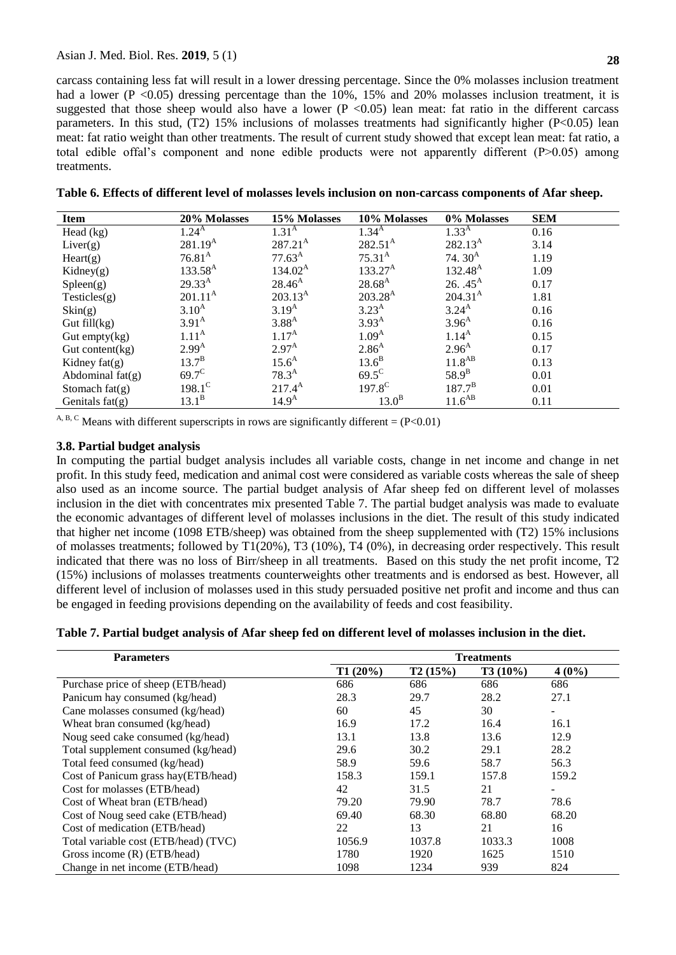## Asian J. Med. Biol. Res. **2019**, 5 (1)

carcass containing less fat will result in a lower dressing percentage. Since the 0% molasses inclusion treatment had a lower (P  $\lt$ 0.05) dressing percentage than the 10%, 15% and 20% molasses inclusion treatment, it is suggested that those sheep would also have a lower ( $P < 0.05$ ) lean meat: fat ratio in the different carcass parameters. In this stud, (T2) 15% inclusions of molasses treatments had significantly higher (P<0.05) lean meat: fat ratio weight than other treatments. The result of current study showed that except lean meat: fat ratio, a total edible offal's component and none edible products were not apparently different (P>0.05) among treatments.

| Table 6. Effects of different level of molasses levels inclusion on non-carcass components of Afar sheep. |  |
|-----------------------------------------------------------------------------------------------------------|--|
|-----------------------------------------------------------------------------------------------------------|--|

| <b>Item</b>         | 20% Molasses       | 15% Molasses      | 10% Molasses      | 0% Molasses         | <b>SEM</b> |
|---------------------|--------------------|-------------------|-------------------|---------------------|------------|
| Head $(kg)$         | $1.24^{A}$         | $1.31^{A}$        | $1.34^{A}$        | $1.33^{A}$          | 0.16       |
| Liver(g)            | $281.19^{\rm A}$   | $287.21^{\rm A}$  | $282.51^{\rm A}$  | $282.13^{\rm A}$    | 3.14       |
| Heart(g)            | $76.81^{\text{A}}$ | $77.63^{\rm A}$   | $75.31^{\rm A}$   | 74.30 <sup>A</sup>  | 1.19       |
| Kidney(g)           | $133.58^{A}$       | $134.02^{\rm A}$  | $133.27^A$        | $132.48^{A}$        | 1.09       |
| Spleen(g)           | $29.33^{A}$        | $28.46^{A}$       | $28.68^{A}$       | $26.45^A$           | 0.17       |
| Testicles(g)        | $201.11^{\rm A}$   | $203.13^{\rm A}$  | $203.28^{A}$      | $204.31^{\text{A}}$ | 1.81       |
| $\text{skin}(g)$    | $3.10^{A}$         | $3.19^{A}$        | $3.23^{A}$        | $3.24^{A}$          | 0.16       |
| Gut $fill(kg)$      | 3.91 <sup>A</sup>  | 3.88 <sup>A</sup> | $3.93^{A}$        | $3.96^{A}$          | 0.16       |
| Gut empty $(kg)$    | $1.11^{A}$         | $1.17^{A}$        | $1.09^{A}$        | $1.14^{A}$          | 0.15       |
| Gut content( $kg$ ) | $2.99^{A}$         | $2.97^{A}$        | $2.86^{A}$        | $2.96^{A}$          | 0.17       |
| Kidney $fat(g)$     | $13.7^{\rm B}$     | $15.6^{A}$        | $13.6^B$          | 11.8 <sup>AB</sup>  | 0.13       |
| Abdominal $fat(g)$  | $69.7^{\circ}$     | $78.3^{\rm A}$    | $69.5^{\circ}$    | $58.9^{\mathrm{B}}$ | 0.01       |
| Stomach $fat(g)$    | $198.1^{\circ}$    | $217.4^{\rm A}$   | $197.8^{\circ}$   | $187.7^{\rm B}$     | 0.01       |
| Genitals fat(g)     | $13.1^{\rm B}$     | 14.9 <sup>A</sup> | 13.0 <sup>B</sup> | $11.6^{AB}$         | 0.11       |

<sup>A, B, C</sup> Means with different superscripts in rows are significantly different =  $(P<0.01)$ 

## **3.8. Partial budget analysis**

In computing the partial budget analysis includes all variable costs, change in net income and change in net profit. In this study feed, medication and animal cost were considered as variable costs whereas the sale of sheep also used as an income source. The partial budget analysis of Afar sheep fed on different level of molasses inclusion in the diet with concentrates mix presented Table 7. The partial budget analysis was made to evaluate the economic advantages of different level of molasses inclusions in the diet. The result of this study indicated that higher net income (1098 ETB/sheep) was obtained from the sheep supplemented with (T2) 15% inclusions of molasses treatments; followed by T1(20%), T3 (10%), T4 (0%), in decreasing order respectively. This result indicated that there was no loss of Birr/sheep in all treatments. Based on this study the net profit income, T2 (15%) inclusions of molasses treatments counterweights other treatments and is endorsed as best. However, all different level of inclusion of molasses used in this study persuaded positive net profit and income and thus can be engaged in feeding provisions depending on the availability of feeds and cost feasibility.

|  |  |  |  |  |  | Table 7. Partial budget analysis of Afar sheep fed on different level of molasses inclusion in the diet. |
|--|--|--|--|--|--|----------------------------------------------------------------------------------------------------------|
|--|--|--|--|--|--|----------------------------------------------------------------------------------------------------------|

| <b>Parameters</b>                    | <b>Treatments</b> |         |            |          |  |  |
|--------------------------------------|-------------------|---------|------------|----------|--|--|
|                                      | T1(20%)           | T2(15%) | $T3(10\%)$ | $4(0\%)$ |  |  |
| Purchase price of sheep (ETB/head)   | 686               | 686     | 686        | 686      |  |  |
| Panicum hay consumed (kg/head)       | 28.3              | 29.7    | 28.2       | 27.1     |  |  |
| Cane molasses consumed (kg/head)     | 60                | 45      | 30         |          |  |  |
| Wheat bran consumed (kg/head)        | 16.9              | 17.2    | 16.4       | 16.1     |  |  |
| Noug seed cake consumed (kg/head)    | 13.1              | 13.8    | 13.6       | 12.9     |  |  |
| Total supplement consumed (kg/head)  | 29.6              | 30.2    | 29.1       | 28.2     |  |  |
| Total feed consumed (kg/head)        | 58.9              | 59.6    | 58.7       | 56.3     |  |  |
| Cost of Panicum grass hay (ETB/head) | 158.3             | 159.1   | 157.8      | 159.2    |  |  |
| Cost for molasses (ETB/head)         | 42                | 31.5    | 21         |          |  |  |
| Cost of Wheat bran (ETB/head)        | 79.20             | 79.90   | 78.7       | 78.6     |  |  |
| Cost of Noug seed cake (ETB/head)    | 69.40             | 68.30   | 68.80      | 68.20    |  |  |
| Cost of medication (ETB/head)        | 22                | 13      | 21         | 16       |  |  |
| Total variable cost (ETB/head) (TVC) | 1056.9            | 1037.8  | 1033.3     | 1008     |  |  |
| Gross income $(R)$ (ETB/head)        | 1780              | 1920    | 1625       | 1510     |  |  |
| Change in net income (ETB/head)      | 1098              | 1234    | 939        | 824      |  |  |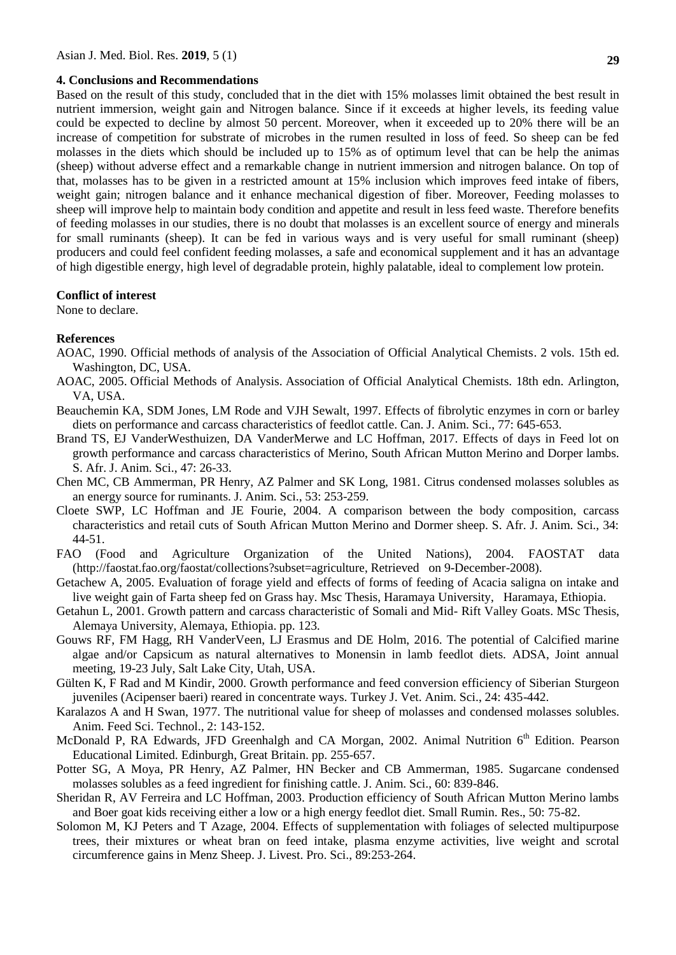#### **4. Conclusions and Recommendations**

Based on the result of this study, concluded that in the diet with 15% molasses limit obtained the best result in nutrient immersion, weight gain and Nitrogen balance. Since if it exceeds at higher levels, its feeding value could be expected to decline by almost 50 percent. Moreover, when it exceeded up to 20% there will be an increase of competition for substrate of microbes in the rumen resulted in loss of feed. So sheep can be fed molasses in the diets which should be included up to 15% as of optimum level that can be help the animas (sheep) without adverse effect and a remarkable change in nutrient immersion and nitrogen balance. On top of that, molasses has to be given in a restricted amount at 15% inclusion which improves feed intake of fibers, weight gain; nitrogen balance and it enhance mechanical digestion of fiber. Moreover, Feeding molasses to sheep will improve help to maintain body condition and appetite and result in less feed waste. Therefore benefits of feeding molasses in our studies, there is no doubt that molasses is an excellent source of energy and minerals for small ruminants (sheep). It can be fed in various ways and is very useful for small ruminant (sheep) producers and could feel confident feeding molasses, a safe and economical supplement and it has an advantage of high digestible energy, high level of degradable protein, highly palatable, ideal to complement low protein.

#### **Conflict of interest**

None to declare.

## **References**

- AOAC, 1990. Official methods of analysis of the Association of Official Analytical Chemists. 2 vols. 15th ed. Washington, DC, USA.
- AOAC, 2005. Official Methods of Analysis. Association of Official Analytical Chemists. 18th edn. Arlington, VA, USA.
- Beauchemin KA, SDM Jones, LM Rode and VJH Sewalt, 1997. Effects of fibrolytic enzymes in corn or barley diets on performance and carcass characteristics of feedlot cattle. Can. J. Anim. Sci., 77: 645-653.
- Brand TS, EJ VanderWesthuizen, DA VanderMerwe and LC Hoffman, 2017. Effects of days in Feed lot on growth performance and carcass characteristics of Merino, South African Mutton Merino and Dorper lambs. S. Afr. J. Anim. Sci., 47: 26-33.
- Chen MC, CB Ammerman, PR Henry, AZ Palmer and SK Long, 1981. Citrus condensed molasses solubles as an energy source for ruminants. J. Anim. Sci., 53: 253-259.
- Cloete SWP, LC Hoffman and JE Fourie, 2004. A comparison between the body composition, carcass characteristics and retail cuts of South African Mutton Merino and Dormer sheep. S. Afr. J. Anim. Sci., 34: 44-51.
- FAO (Food and Agriculture Organization of the United Nations), 2004. FAOSTAT data (http://faostat.fao.org/faostat/collections?subset=agriculture, Retrieved on 9-December-2008).
- Getachew A, 2005. Evaluation of forage yield and effects of forms of feeding of Acacia saligna on intake and live weight gain of Farta sheep fed on Grass hay. Msc Thesis, Haramaya University, Haramaya, Ethiopia.
- Getahun L, 2001. Growth pattern and carcass characteristic of Somali and Mid- Rift Valley Goats. MSc Thesis, Alemaya University, Alemaya, Ethiopia. pp. 123.
- Gouws RF, FM Hagg, RH VanderVeen, LJ Erasmus and DE Holm, 2016. The potential of Calcified marine algae and/or Capsicum as natural alternatives to Monensin in lamb feedlot diets. ADSA, Joint annual meeting, 19-23 July, Salt Lake City, Utah, USA.
- Gülten K, F Rad and M Kindir, 2000. Growth performance and feed conversion efficiency of Siberian Sturgeon juveniles (Acipenser baeri) reared in concentrate ways. Turkey J. Vet. Anim. Sci., 24: 435-442.
- Karalazos A and H Swan, 1977. The nutritional value for sheep of molasses and condensed molasses solubles. Anim. Feed Sci. Technol., 2: 143-152.
- McDonald P, RA Edwards, JFD Greenhalgh and CA Morgan, 2002. Animal Nutrition  $6<sup>th</sup>$  Edition. Pearson Educational Limited. Edinburgh, Great Britain. pp. 255-657.
- Potter SG, A Moya, PR Henry, AZ Palmer, HN Becker and CB Ammerman, 1985. Sugarcane condensed molasses solubles as a feed ingredient for finishing cattle. J. Anim. Sci., 60: 839-846.
- Sheridan R, AV Ferreira and LC Hoffman, 2003. Production efficiency of South African Mutton Merino lambs and Boer goat kids receiving either a low or a high energy feedlot diet. Small Rumin. Res., 50: 75-82.
- Solomon M, KJ Peters and T Azage, 2004. Effects of supplementation with foliages of selected multipurpose trees, their mixtures or wheat bran on feed intake, plasma enzyme activities, live weight and scrotal circumference gains in Menz Sheep. J. Livest. Pro. Sci., 89:253-264.